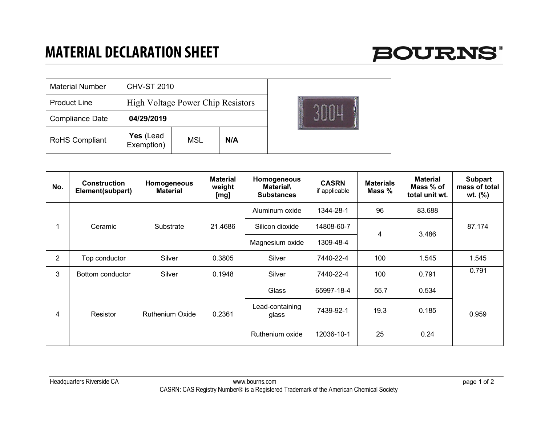

| <b>Material Number</b> | <b>CHV-ST 2010</b>                       |     |     |  |
|------------------------|------------------------------------------|-----|-----|--|
| <b>Product Line</b>    | <b>High Voltage Power Chip Resistors</b> |     |     |  |
| Compliance Date        | 04/29/2019                               |     |     |  |
| <b>RoHS Compliant</b>  | Yes (Lead<br>Exemption)                  | MSL | N/A |  |

| No.            | <b>Construction</b><br>Element(subpart) | Homogeneous<br><b>Material</b> | <b>Material</b><br>weight<br>[mg] | Homogeneous<br><b>Material</b><br><b>Substances</b> | <b>CASRN</b><br>if applicable | <b>Materials</b><br>Mass $%$ | <b>Material</b><br>Mass % of<br>total unit wt. | <b>Subpart</b><br>mass of total<br>wt. (%) |
|----------------|-----------------------------------------|--------------------------------|-----------------------------------|-----------------------------------------------------|-------------------------------|------------------------------|------------------------------------------------|--------------------------------------------|
|                | Ceramic                                 | Substrate                      | 21.4686                           | Aluminum oxide                                      | 1344-28-1                     | 96                           | 83.688                                         | 87.174                                     |
|                |                                         |                                |                                   | Silicon dioxide                                     | 14808-60-7                    | 4                            | 3.486                                          |                                            |
|                |                                         |                                |                                   | Magnesium oxide                                     | 1309-48-4                     |                              |                                                |                                            |
| $\overline{2}$ | Top conductor                           | Silver                         | 0.3805                            | Silver                                              | 7440-22-4                     | 100                          | 1.545                                          | 1.545                                      |
| 3              | Bottom conductor                        | Silver                         | 0.1948                            | Silver                                              | 7440-22-4                     | 100                          | 0.791                                          | 0.791                                      |
| 4              | Resistor                                | <b>Ruthenium Oxide</b>         | 0.2361                            | Glass                                               | 65997-18-4                    | 55.7                         | 0.534                                          | 0.959                                      |
|                |                                         |                                |                                   | Lead-containing<br>glass                            | 7439-92-1                     | 19.3                         | 0.185                                          |                                            |
|                |                                         |                                |                                   | Ruthenium oxide                                     | 12036-10-1                    | 25                           | 0.24                                           |                                            |